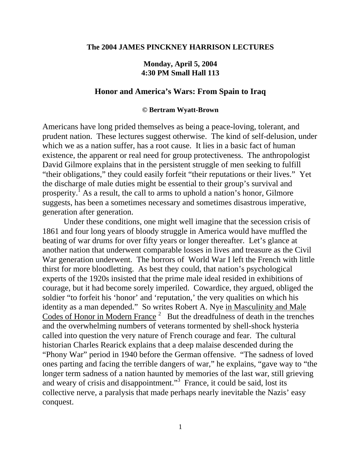## **The 2004 JAMES PINCKNEY HARRISON LECTURES**

## **Monday, April 5, 2004 4:30 PM Small Hall 113**

## **Honor and America's Wars: From Spain to Iraq**

## **© Bertram Wyatt-Brown**

Americans have long prided themselves as being a peace-loving, tolerant, and prudent nation. These lectures suggest otherwise. The kind of self-delusion, under which we as a nation suffer, has a root cause. It lies in a basic fact of human existence, the apparent or real need for group protectiveness. The anthropologist David Gilmore explains that in the persistent struggle of men seeking to fulfill "their obligations," they could easily forfeit "their reputations or their lives." Yet the discharge of male duties might be essential to their group's survival and prosperity.<sup> $\int$ </sup> As a result, the call to arms to uphold a nation's honor, Gilmore suggests, has been a sometimes necessary and sometimes disastrous imperative, generation after generation.

Under these conditions, one might well imagine that the secession crisis of 1861 and four long years of bloody struggle in America would have muffled the beating of war drums for over fifty years or longer thereafter. Let's glance at another nation that underwent comparable losses in lives and treasure as the Civil War generation underwent. The horrors of World War I left the French with little thirst for more bloodletting. As best they could, that nation's psychological experts of the 1920s insisted that the prime male ideal resided in exhibitions of courage, but it had become sorely imperiled. Cowardice, they argued, obliged the soldier "to forfeit his 'honor' and 'reputation,' the very qualities on which his identity as a man depended." So writes Robert A. Nye in Masculinity and Male Codes of Honor in Modern France<sup>2</sup> But the dreadfulness of death in the trenches and the overwhelming numbers of veterans tormented by shell-shock hysteria called into question the very nature of French courage and fear. The cultural historian Charles Rearick explains that a deep malaise descended during the "Phony War" period in 1940 before the German offensive. "The sadness of loved ones parting and facing the terrible dangers of war," he explains, "gave way to "the longer term sadness of a nation haunted by memories of the last war, still grieving and weary of crisis and disappointment."<sup>3</sup> France, it could be said, lost its collective nerve, a paralysis that made perhaps nearly inevitable the Nazis' easy conquest.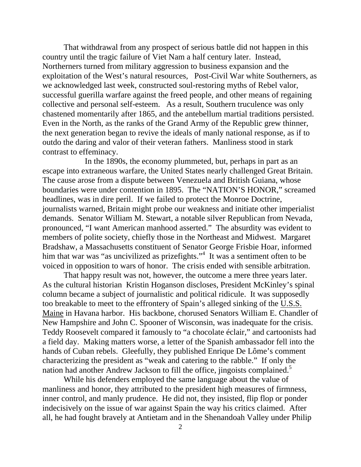That withdrawal from any prospect of serious battle did not happen in this country until the tragic failure of Viet Nam a half century later. Instead, Northerners turned from military aggression to business expansion and the exploitation of the West's natural resources, Post-Civil War white Southerners, as we acknowledged last week, constructed soul-restoring myths of Rebel valor, successful guerilla warfare against the freed people, and other means of regaining collective and personal self-esteem. As a result, Southern truculence was only chastened momentarily after 1865, and the antebellum martial traditions persisted. Even in the North, as the ranks of the Grand Army of the Republic grew thinner, the next generation began to revive the ideals of manly national response, as if to outdo the daring and valor of their veteran fathers. Manliness stood in stark contrast to effeminacy.

 In the 1890s, the economy plummeted, but, perhaps in part as an escape into extraneous warfare, the United States nearly challenged Great Britain. The cause arose from a dispute between Venezuela and British Guiana, whose boundaries were under contention in 1895. The "NATION'S HONOR," screamed headlines, was in dire peril. If we failed to protect the Monroe Doctrine, journalists warned, Britain might probe our weakness and initiate other imperialist demands. Senator William M. Stewart, a notable silver Republican from Nevada, pronounced, "I want American manhood asserted." The absurdity was evident to members of polite society, chiefly those in the Northeast and Midwest. Margaret Bradshaw, a Massachusetts constituent of Senator George Frisbie Hoar, informed him that war was "as uncivilized as prizefights."<sup>4</sup> It was a sentiment often to be voiced in opposition to wars of honor. The crisis ended with sensible arbitration.

That happy result was not, however, the outcome a mere three years later. As the cultural historian Kristin Hoganson discloses, President McKinley's spinal column became a subject of journalistic and political ridicule. It was supposedly too breakable to meet to the effrontery of Spain's alleged sinking of the U.S.S. Maine in Havana harbor. His backbone, chorused Senators William E. Chandler of New Hampshire and John C. Spooner of Wisconsin, was inadequate for the crisis. Teddy Roosevelt compared it famously to "a chocolate éclair," and cartoonists had a field day. Making matters worse, a letter of the Spanish ambassador fell into the hands of Cuban rebels. Gleefully, they published Enrique De Lôme's comment characterizing the president as "weak and catering to the rabble." If only the nation had another Andrew Jackson to fill the office, jingoists complained.<sup>5</sup>

While his defenders employed the same language about the value of manliness and honor, they attributed to the president high measures of firmness, inner control, and manly prudence. He did not, they insisted, flip flop or ponder indecisively on the issue of war against Spain the way his critics claimed. After all, he had fought bravely at Antietam and in the Shenandoah Valley under Philip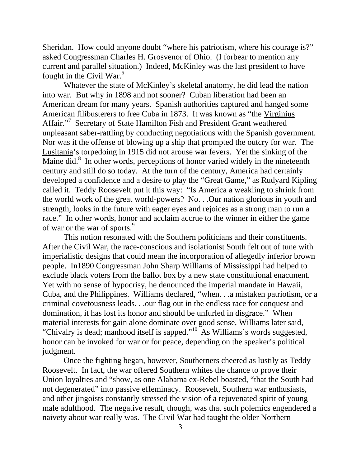Sheridan. How could anyone doubt "where his patriotism, where his courage is?" asked Congressman Charles H. Grosvenor of Ohio. (I forbear to mention any current and parallel situation.) Indeed, McKinley was the last president to have fought in the Civil War. $<sup>6</sup>$ </sup>

Whatever the state of McKinley's skeletal anatomy, he did lead the nation into war. But why in 1898 and not sooner? Cuban liberation had been an American dream for many years. Spanish authorities captured and hanged some American filibusterers to free Cuba in 1873. It was known as "the Virginius Affair."<sup>7</sup> Secretary of State Hamilton Fish and President Grant weathered unpleasant saber-rattling by conducting negotiations with the Spanish government. Nor was it the offense of blowing up a ship that prompted the outcry for war. The Lusitania's torpedoing in 1915 did not arouse war fevers. Yet the sinking of the Maine did.<sup>8</sup> In other words, perceptions of honor varied widely in the nineteenth century and still do so today. At the turn of the century, America had certainly developed a confidence and a desire to play the "Great Game," as Rudyard Kipling called it. Teddy Roosevelt put it this way: "Is America a weakling to shrink from the world work of the great world-powers? No. . .Our nation glorious in youth and strength, looks in the future with eager eyes and rejoices as a strong man to run a race." In other words, honor and acclaim accrue to the winner in either the game of war or the war of sports.<sup>9</sup>

This notion resonated with the Southern politicians and their constituents. After the Civil War, the race-conscious and isolationist South felt out of tune with imperialistic designs that could mean the incorporation of allegedly inferior brown people. In1890 Congressman John Sharp Williams of Mississippi had helped to exclude black voters from the ballot box by a new state constitutional enactment. Yet with no sense of hypocrisy, he denounced the imperial mandate in Hawaii, Cuba, and the Philippines. Williams declared, "when. . .a mistaken patriotism, or a criminal covetousness leads. . .our flag out in the endless race for conquest and domination, it has lost its honor and should be unfurled in disgrace." When material interests for gain alone dominate over good sense, Williams later said, "Chivalry is dead; manhood itself is sapped."<sup>10</sup> As Williams's words suggested, honor can be invoked for war or for peace, depending on the speaker's political judgment.

Once the fighting began, however, Southerners cheered as lustily as Teddy Roosevelt. In fact, the war offered Southern whites the chance to prove their Union loyalties and "show, as one Alabama ex-Rebel boasted, "that the South had not degenerated" into passive effeminacy. Roosevelt, Southern war enthusiasts, and other jingoists constantly stressed the vision of a rejuvenated spirit of young male adulthood. The negative result, though, was that such polemics engendered a naivety about war really was. The Civil War had taught the older Northern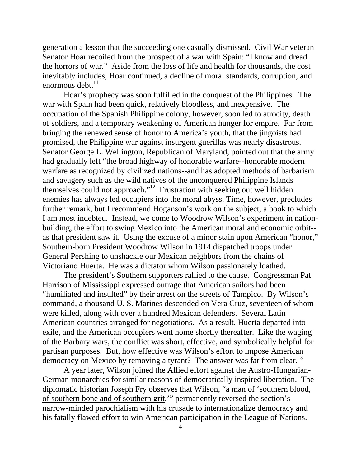generation a lesson that the succeeding one casually dismissed. Civil War veteran Senator Hoar recoiled from the prospect of a war with Spain: "I know and dread the horrors of war." Aside from the loss of life and health for thousands, the cost inevitably includes, Hoar continued, a decline of moral standards, corruption, and enormous debt. $^{11}$ 

Hoar's prophecy was soon fulfilled in the conquest of the Philippines. The war with Spain had been quick, relatively bloodless, and inexpensive. The occupation of the Spanish Philippine colony, however, soon led to atrocity, death of soldiers, and a temporary weakening of American hunger for empire. Far from bringing the renewed sense of honor to America's youth, that the jingoists had promised, the Philippine war against insurgent guerillas was nearly disastrous. Senator George L. Wellington, Republican of Maryland, pointed out that the army had gradually left "the broad highway of honorable warfare--honorable modern warfare as recognized by civilized nations--and has adopted methods of barbarism and savagery such as the wild natives of the unconquered Philippine Islands themselves could not approach."12 Frustration with seeking out well hidden enemies has always led occupiers into the moral abyss. Time, however, precludes further remark, but I recommend Hoganson's work on the subject, a book to which I am most indebted. Instead, we come to Woodrow Wilson's experiment in nationbuilding, the effort to swing Mexico into the American moral and economic orbit- as that president saw it. Using the excuse of a minor stain upon American "honor," Southern-born President Woodrow Wilson in 1914 dispatched troops under General Pershing to unshackle our Mexican neighbors from the chains of Victoriano Huerta. He was a dictator whom Wilson passionately loathed.

The president's Southern supporters rallied to the cause. Congressman Pat Harrison of Mississippi expressed outrage that American sailors had been "humiliated and insulted" by their arrest on the streets of Tampico. By Wilson's command, a thousand U. S. Marines descended on Vera Cruz, seventeen of whom were killed, along with over a hundred Mexican defenders. Several Latin American countries arranged for negotiations. As a result, Huerta departed into exile, and the American occupiers went home shortly thereafter. Like the waging of the Barbary wars, the conflict was short, effective, and symbolically helpful for partisan purposes. But, how effective was Wilson's effort to impose American democracy on Mexico by removing a tyrant? The answer was far from clear.<sup>13</sup>

A year later, Wilson joined the Allied effort against the Austro-Hungarian-German monarchies for similar reasons of democratically inspired liberation. The diplomatic historian Joseph Fry observes that Wilson, "a man of 'southern blood, of southern bone and of southern grit,'" permanently reversed the section's narrow-minded parochialism with his crusade to internationalize democracy and his fatally flawed effort to win American participation in the League of Nations.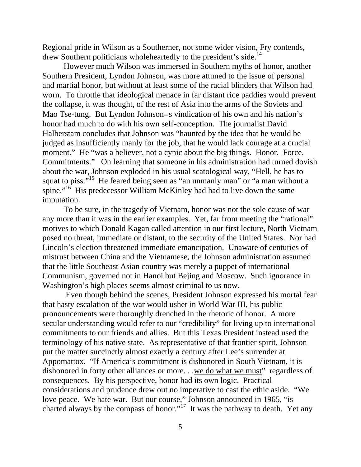Regional pride in Wilson as a Southerner, not some wider vision, Fry contends, drew Southern politicians wholeheartedly to the president's side.<sup>14</sup>

However much Wilson was immersed in Southern myths of honor, another Southern President, Lyndon Johnson, was more attuned to the issue of personal and martial honor, but without at least some of the racial blinders that Wilson had worn. To throttle that ideological menace in far distant rice paddies would prevent the collapse, it was thought, of the rest of Asia into the arms of the Soviets and Mao Tse-tung. But Lyndon Johnson=s vindication of his own and his nation's honor had much to do with his own self-conception. The journalist David Halberstam concludes that Johnson was "haunted by the idea that he would be judged as insufficiently manly for the job, that he would lack courage at a crucial moment." He "was a believer, not a cynic about the big things. Honor. Force. Commitments." On learning that someone in his administration had turned dovish about the war, Johnson exploded in his usual scatological way, "Hell, he has to squat to piss."<sup>15</sup> He feared being seen as "an unmanly man" or "a man without a spine."<sup>16</sup> His predecessor William McKinley had had to live down the same imputation.

To be sure, in the tragedy of Vietnam, honor was not the sole cause of war any more than it was in the earlier examples. Yet, far from meeting the "rational" motives to which Donald Kagan called attention in our first lecture, North Vietnam posed no threat, immediate or distant, to the security of the United States. Nor had Lincoln's election threatened immediate emancipation. Unaware of centuries of mistrust between China and the Vietnamese, the Johnson administration assumed that the little Southeast Asian country was merely a puppet of international Communism, governed not in Hanoi but Bejing and Moscow. Such ignorance in Washington's high places seems almost criminal to us now.

 Even though behind the scenes, President Johnson expressed his mortal fear that hasty escalation of the war would usher in World War III, his public pronouncements were thoroughly drenched in the rhetoric of honor. A more secular understanding would refer to our "credibility" for living up to international commitments to our friends and allies. But this Texas President instead used the terminology of his native state. As representative of that frontier spirit, Johnson put the matter succinctly almost exactly a century after Lee's surrender at Appomattox. "If America's commitment is dishonored in South Vietnam, it is dishonored in forty other alliances or more. . .we do what we must" regardless of consequences. By his perspective, honor had its own logic. Practical considerations and prudence drew out no imperative to cast the ethic aside. "We love peace. We hate war. But our course," Johnson announced in 1965, "is charted always by the compass of honor."<sup>17</sup> It was the pathway to death. Yet any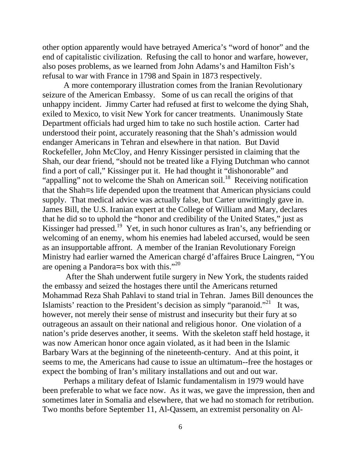other option apparently would have betrayed America's "word of honor" and the end of capitalistic civilization. Refusing the call to honor and warfare, however, also poses problems, as we learned from John Adams's and Hamilton Fish's refusal to war with France in 1798 and Spain in 1873 respectively.

A more contemporary illustration comes from the Iranian Revolutionary seizure of the American Embassy. Some of us can recall the origins of that unhappy incident. Jimmy Carter had refused at first to welcome the dying Shah, exiled to Mexico, to visit New York for cancer treatments. Unanimously State Department officials had urged him to take no such hostile action. Carter had understood their point, accurately reasoning that the Shah's admission would endanger Americans in Tehran and elsewhere in that nation. But David Rockefeller, John McCloy, and Henry Kissinger persisted in claiming that the Shah, our dear friend, "should not be treated like a Flying Dutchman who cannot find a port of call," Kissinger put it. He had thought it "dishonorable" and "appalling" not to welcome the Shah on American soil.<sup>18</sup> Receiving notification that the Shah=s life depended upon the treatment that American physicians could supply. That medical advice was actually false, but Carter unwittingly gave in. James Bill, the U.S. Iranian expert at the College of William and Mary, declares that he did so to uphold the "honor and credibility of the United States," just as Kissinger had pressed.<sup>19</sup> Yet, in such honor cultures as Iran's, any befriending or welcoming of an enemy, whom his enemies had labeled accursed, would be seen as an insupportable affront. A member of the Iranian Revolutionary Foreign Ministry had earlier warned the American chargé d'affaires Bruce Laingren, "You are opening a Pandora=s box with this."<sup>20</sup>

 After the Shah underwent futile surgery in New York, the students raided the embassy and seized the hostages there until the Americans returned Mohammad Reza Shah Pahlavi to stand trial in Tehran. James Bill denounces the Islamists' reaction to the President's decision as simply "paranoid."<sup>21</sup> It was, however, not merely their sense of mistrust and insecurity but their fury at so outrageous an assault on their national and religious honor. One violation of a nation's pride deserves another, it seems. With the skeleton staff held hostage, it was now American honor once again violated, as it had been in the Islamic Barbary Wars at the beginning of the nineteenth-century. And at this point, it seems to me, the Americans had cause to issue an ultimatum--free the hostages or expect the bombing of Iran's military installations and out and out war.

Perhaps a military defeat of Islamic fundamentalism in 1979 would have been preferable to what we face now. As it was, we gave the impression, then and sometimes later in Somalia and elsewhere, that we had no stomach for retribution. Two months before September 11, Al-Qassem, an extremist personality on Al-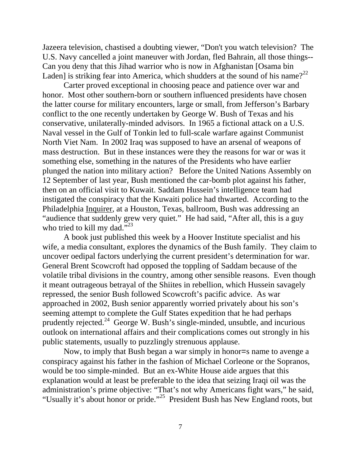Jazeera television, chastised a doubting viewer, "Don't you watch television? The U.S. Navy cancelled a joint maneuver with Jordan, fled Bahrain, all those things-- Can you deny that this Jihad warrior who is now in Afghanistan [Osama bin Laden] is striking fear into America, which shudders at the sound of his name?<sup>22</sup>

Carter proved exceptional in choosing peace and patience over war and honor. Most other southern-born or southern influenced presidents have chosen the latter course for military encounters, large or small, from Jefferson's Barbary conflict to the one recently undertaken by George W. Bush of Texas and his conservative, unilaterally-minded advisors. In 1965 a fictional attack on a U.S. Naval vessel in the Gulf of Tonkin led to full-scale warfare against Communist North Viet Nam. In 2002 Iraq was supposed to have an arsenal of weapons of mass destruction. But in these instances were they the reasons for war or was it something else, something in the natures of the Presidents who have earlier plunged the nation into military action? Before the United Nations Assembly on 12 September of last year, Bush mentioned the car-bomb plot against his father, then on an official visit to Kuwait. Saddam Hussein's intelligence team had instigated the conspiracy that the Kuwaiti police had thwarted. According to the Philadelphia Inquirer, at a Houston, Texas, ballroom, Bush was addressing an "audience that suddenly grew very quiet." He had said, "After all, this is a guy who tried to kill my dad."<sup>23</sup>

A book just published this week by a Hoover Institute specialist and his wife, a media consultant, explores the dynamics of the Bush family. They claim to uncover oedipal factors underlying the current president's determination for war. General Brent Scowcroft had opposed the toppling of Saddam because of the volatile tribal divisions in the country, among other sensible reasons. Even though it meant outrageous betrayal of the Shiites in rebellion, which Hussein savagely repressed, the senior Bush followed Scowcroft's pacific advice. As war approached in 2002, Bush senior apparently worried privately about his son's seeming attempt to complete the Gulf States expedition that he had perhaps prudently rejected.24 George W. Bush's single-minded, unsubtle, and incurious outlook on international affairs and their complications comes out strongly in his public statements, usually to puzzlingly strenuous applause.

Now, to imply that Bush began a war simply in honor=s name to avenge a conspiracy against his father in the fashion of Michael Corleone or the Sopranos, would be too simple-minded. But an ex-White House aide argues that this explanation would at least be preferable to the idea that seizing Iraqi oil was the administration's prime objective: "That's not why Americans fight wars," he said, "Usually it's about honor or pride."25 President Bush has New England roots, but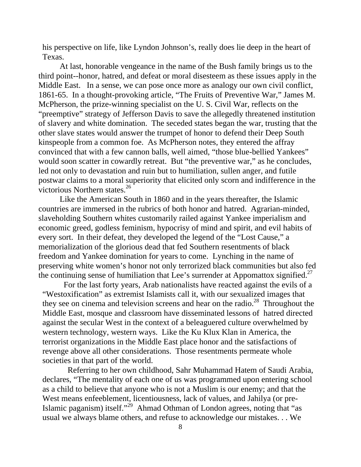his perspective on life, like Lyndon Johnson's, really does lie deep in the heart of Texas.

At last, honorable vengeance in the name of the Bush family brings us to the third point--honor, hatred, and defeat or moral disesteem as these issues apply in the Middle East. In a sense, we can pose once more as analogy our own civil conflict, 1861-65. In a thought-provoking article, "The Fruits of Preventive War," James M. McPherson, the prize-winning specialist on the U. S. Civil War, reflects on the "preemptive" strategy of Jefferson Davis to save the allegedly threatened institution of slavery and white domination. The seceded states began the war, trusting that the other slave states would answer the trumpet of honor to defend their Deep South kinspeople from a common foe. As McPherson notes, they entered the affray convinced that with a few cannon balls, well aimed, "those blue-bellied Yankees" would soon scatter in cowardly retreat. But "the preventive war," as he concludes, led not only to devastation and ruin but to humiliation, sullen anger, and futile postwar claims to a moral superiority that elicited only scorn and indifference in the victorious Northern states. $^{26}$ 

Like the American South in 1860 and in the years thereafter, the Islamic countries are immersed in the rubrics of both honor and hatred. Agrarian-minded, slaveholding Southern whites customarily railed against Yankee imperialism and economic greed, godless feminism, hypocrisy of mind and spirit, and evil habits of every sort. In their defeat, they developed the legend of the "Lost Cause," a memorialization of the glorious dead that fed Southern resentments of black freedom and Yankee domination for years to come. Lynching in the name of preserving white women's honor not only terrorized black communities but also fed the continuing sense of humiliation that Lee's surrender at Appomattox signified.<sup>27</sup>

For the last forty years, Arab nationalists have reacted against the evils of a "Westoxification" as extremist Islamists call it, with our sexualized images that they see on cinema and television screens and hear on the radio.<sup>28</sup> Throughout the Middle East, mosque and classroom have disseminated lessons of hatred directed against the secular West in the context of a beleaguered culture overwhelmed by western technology, western ways. Like the Ku Klux Klan in America, the terrorist organizations in the Middle East place honor and the satisfactions of revenge above all other considerations. Those resentments permeate whole societies in that part of the world.

 Referring to her own childhood, Sahr Muhammad Hatem of Saudi Arabia, declares, "The mentality of each one of us was programmed upon entering school as a child to believe that anyone who is not a Muslim is our enemy; and that the West means enfeeblement, licentiousness, lack of values, and Jahilya (or pre-Islamic paganism) itself."29 Ahmad Othman of London agrees, noting that "as usual we always blame others, and refuse to acknowledge our mistakes. . . We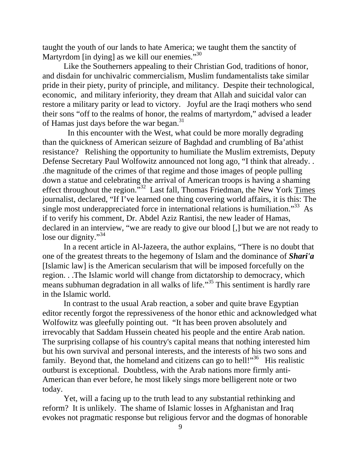taught the youth of our lands to hate America; we taught them the sanctity of Martyrdom [in dying] as we kill our enemies."<sup>30</sup>

Like the Southerners appealing to their Christian God, traditions of honor, and disdain for unchivalric commercialism, Muslim fundamentalists take similar pride in their piety, purity of principle, and militancy. Despite their technological, economic, and military inferiority, they dream that Allah and suicidal valor can restore a military parity or lead to victory. Joyful are the Iraqi mothers who send their sons "off to the realms of honor, the realms of martyrdom," advised a leader of Hamas just days before the war began.<sup>31</sup>

 In this encounter with the West, what could be more morally degrading than the quickness of American seizure of Baghdad and crumbling of Ba'athist resistance? Relishing the opportunity to humiliate the Muslim extremists, Deputy Defense Secretary Paul Wolfowitz announced not long ago, "I think that already. . .the magnitude of the crimes of that regime and those images of people pulling down a statue and celebrating the arrival of American troops is having a shaming effect throughout the region."<sup>32</sup> Last fall, Thomas Friedman, the New York Times journalist, declared, "If I've learned one thing covering world affairs, it is this: The single most underappreciated force in international relations is humiliation."<sup>33</sup> As if to verify his comment, Dr. Abdel Aziz Rantisi, the new leader of Hamas, declared in an interview, "we are ready to give our blood [,] but we are not ready to lose our dignity."<sup>34</sup>

In a recent article in Al-Jazeera, the author explains, "There is no doubt that one of the greatest threats to the hegemony of Islam and the dominance of *Shari'a* [Islamic law] is the American secularism that will be imposed forcefully on the region. . .The Islamic world will change from dictatorship to democracy, which means subhuman degradation in all walks of life."<sup>35</sup> This sentiment is hardly rare in the Islamic world.

In contrast to the usual Arab reaction, a sober and quite brave Egyptian editor recently forgot the repressiveness of the honor ethic and acknowledged what Wolfowitz was gleefully pointing out. "It has been proven absolutely and irrevocably that Saddam Hussein cheated his people and the entire Arab nation. The surprising collapse of his country's capital means that nothing interested him but his own survival and personal interests, and the interests of his two sons and family. Beyond that, the homeland and citizens can go to hell!"<sup>36</sup> His realistic outburst is exceptional. Doubtless, with the Arab nations more firmly anti-American than ever before, he most likely sings more belligerent note or two today.

Yet, will a facing up to the truth lead to any substantial rethinking and reform? It is unlikely. The shame of Islamic losses in Afghanistan and Iraq evokes not pragmatic response but religious fervor and the dogmas of honorable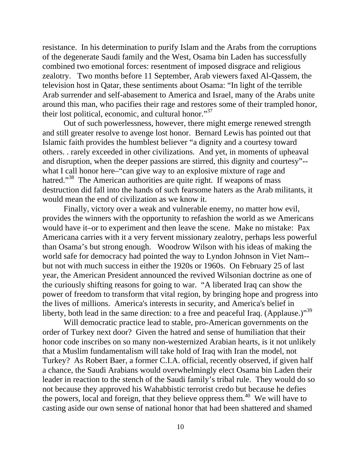resistance. In his determination to purify Islam and the Arabs from the corruptions of the degenerate Saudi family and the West, Osama bin Laden has successfully combined two emotional forces: resentment of imposed disgrace and religious zealotry. Two months before 11 September, Arab viewers faxed Al-Qassem, the television host in Qatar, these sentiments about Osama: "In light of the terrible Arab surrender and self-abasement to America and Israel, many of the Arabs unite around this man, who pacifies their rage and restores some of their trampled honor, their lost political, economic, and cultural honor."<sup>37</sup>

Out of such powerlessness, however, there might emerge renewed strength and still greater resolve to avenge lost honor. Bernard Lewis has pointed out that Islamic faith provides the humblest believer "a dignity and a courtesy toward others. . rarely exceeded in other civilizations. And yet, in moments of upheaval and disruption, when the deeper passions are stirred, this dignity and courtesy"- what I call honor here–"can give way to an explosive mixture of rage and hatred."<sup>38</sup> The American authorities are quite right. If weapons of mass destruction did fall into the hands of such fearsome haters as the Arab militants, it would mean the end of civilization as we know it.

Finally, victory over a weak and vulnerable enemy, no matter how evil, provides the winners with the opportunity to refashion the world as we Americans would have it–or to experiment and then leave the scene. Make no mistake: Pax Americana carries with it a very fervent missionary zealotry, perhaps less powerful than Osama's but strong enough. Woodrow Wilson with his ideas of making the world safe for democracy had pointed the way to Lyndon Johnson in Viet Nam- but not with much success in either the 1920s or 1960s. On February 25 of last year, the American President announced the revived Wilsonian doctrine as one of the curiously shifting reasons for going to war. "A liberated Iraq can show the power of freedom to transform that vital region, by bringing hope and progress into the lives of millions. America's interests in security, and America's belief in liberty, both lead in the same direction: to a free and peaceful Iraq. (Applause.)"<sup>39</sup>

Will democratic practice lead to stable, pro-American governments on the order of Turkey next door? Given the hatred and sense of humiliation that their honor code inscribes on so many non-westernized Arabian hearts, is it not unlikely that a Muslim fundamentalism will take hold of Iraq with Iran the model, not Turkey? As Robert Baer, a former C.I.A. official, recently observed, if given half a chance, the Saudi Arabians would overwhelmingly elect Osama bin Laden their leader in reaction to the stench of the Saudi family's tribal rule. They would do so not because they approved his Wahabbistic terrorist credo but because he defies the powers, local and foreign, that they believe oppress them.<sup>40</sup> We will have to casting aside our own sense of national honor that had been shattered and shamed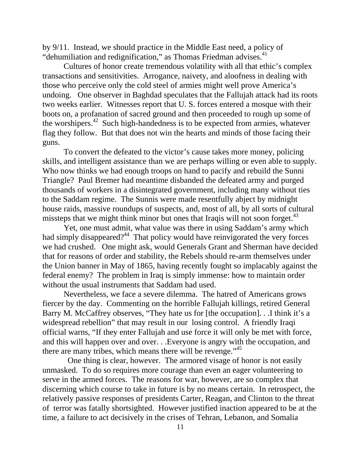by 9/11. Instead, we should practice in the Middle East need, a policy of "dehumiliation and redignification," as Thomas Friedman advises. $41$ 

Cultures of honor create tremendous volatility with all that ethic's complex transactions and sensitivities. Arrogance, naivety, and aloofness in dealing with those who perceive only the cold steel of armies might well prove America's undoing. One observer in Baghdad speculates that the Fallujah attack had its roots two weeks earlier. Witnesses report that U. S. forces entered a mosque with their boots on, a profanation of sacred ground and then proceeded to rough up some of the worshipers.42 Such high-handedness is to be expected from armies, whatever flag they follow. But that does not win the hearts and minds of those facing their guns.

To convert the defeated to the victor's cause takes more money, policing skills, and intelligent assistance than we are perhaps willing or even able to supply. Who now thinks we had enough troops on hand to pacify and rebuild the Sunni Triangle? Paul Bremer had meantime disbanded the defeated army and purged thousands of workers in a disintegrated government, including many without ties to the Saddam regime. The Sunnis were made resentfully abject by midnight house raids, massive roundups of suspects, and, most of all, by all sorts of cultural missteps that we might think minor but ones that Iraqis will not soon forget.<sup>43</sup>

Yet, one must admit, what value was there in using Saddam's army which had simply disappeared?<sup>44</sup> That policy would have reinvigorated the very forces we had crushed. One might ask, would Generals Grant and Sherman have decided that for reasons of order and stability, the Rebels should re-arm themselves under the Union banner in May of 1865, having recently fought so implacably against the federal enemy? The problem in Iraq is simply immense: how to maintain order without the usual instruments that Saddam had used.

Nevertheless, we face a severe dilemma. The hatred of Americans grows fiercer by the day. Commenting on the horrible Fallujah killings, retired General Barry M. McCaffrey observes, "They hate us for [the occupation]. . .I think it's a widespread rebellion" that may result in our losing control. A friendly Iraqi official warns, "If they enter Fallujah and use force it will only be met with force, and this will happen over and over. . .Everyone is angry with the occupation, and there are many tribes, which means there will be revenge."<sup>45</sup>

 One thing is clear, however. The armored visage of honor is not easily unmasked. To do so requires more courage than even an eager volunteering to serve in the armed forces. The reasons for war, however, are so complex that discerning which course to take in future is by no means certain. In retrospect, the relatively passive responses of presidents Carter, Reagan, and Clinton to the threat of terror was fatally shortsighted. However justified inaction appeared to be at the time, a failure to act decisively in the crises of Tehran, Lebanon, and Somalia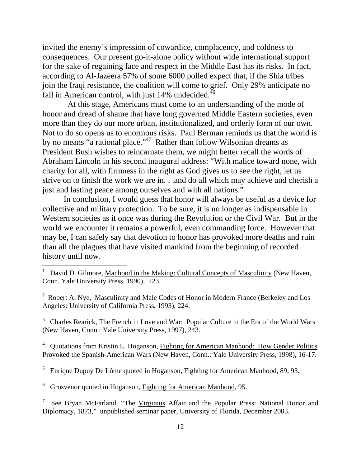invited the enemy's impression of cowardice, complacency, and coldness to consequences. Our present go-it-alone policy without wide international support for the sake of regaining face and respect in the Middle East has its risks. In fact, according to Al-Jazeera 57% of some 6000 polled expect that, if the Shia tribes join the Iraqi resistance, the coalition will come to grief. Only 29% anticipate no fall in American control, with just  $14\%$  undecided.<sup>46</sup>

 At this stage, Americans must come to an understanding of the mode of honor and dread of shame that have long governed Middle Eastern societies, even more than they do our more urban, institutionalized, and orderly form of our own. Not to do so opens us to enormous risks. Paul Berman reminds us that the world is by no means "a rational place."<sup>47</sup> Rather than follow Wilsonian dreams as President Bush wishes to reincarnate them, we might better recall the words of Abraham Lincoln in his second inaugural address: "With malice toward none, with charity for all, with firmness in the right as God gives us to see the right, let us strive on to finish the work we are in. . .and do all which may achieve and cherish a just and lasting peace among ourselves and with all nations."

In conclusion, I would guess that honor will always be useful as a device for collective and military protection. To be sure, it is no longer as indispensable in Western societies as it once was during the Revolution or the Civil War. But in the world we encounter it remains a powerful, even commanding force. However that may be, I can safely say that devotion to honor has provoked more deaths and ruin than all the plagues that have visited mankind from the beginning of recorded history until now.

<sup>3</sup> Charles Rearick, The French in Love and War: Popular Culture in the Era of the World Wars (New Haven, Conn.: Yale University Press, 1997), 243.

<sup>4</sup> Quotations from Kristin L. Hoganson, Fighting for American Manhood: How Gender Politics Provoked the Spanish-American Wars (New Haven, Conn.: Yale University Press, 1998), 16-17.

<sup>5</sup> Enrique Dupuy De Lôme quoted in Hoganson, Fighting for American Manhood, 89, 93.

<sup>6</sup> Grosvenor quoted in Hoganson, Fighting for American Manhood, 95.

 $\overline{a}$ 

7 See Bryan McFarland, "The Virginius Affair and the Popular Press: National Honor and Diplomacy, 1873," unpublished seminar paper, University of Florida, December 2003.

<sup>1</sup> David D. Gilmore, Manhood in the Making: Cultural Concepts of Masculinity (New Haven, Conn. Yale University Press, 1990), 223.

<sup>&</sup>lt;sup>2</sup> Robert A. Nye, Masculinity and Male Codes of Honor in Modern France (Berkeley and Los Angeles: University of California Press, 1993), 224.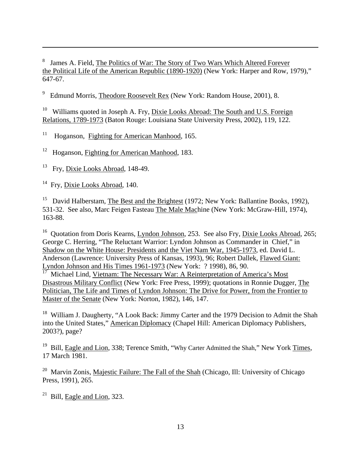8 James A. Field, The Politics of War: The Story of Two Wars Which Altered Forever the Political Life of the American Republic (1890-1920) (New York: Harper and Row, 1979)," 647-67.

9 Edmund Morris, Theodore Roosevelt Rex (New York: Random House, 2001), 8.

Williams quoted in Joseph A. Fry, Dixie Looks Abroad: The South and U.S. Foreign Relations, 1789-1973 (Baton Rouge: Louisiana State University Press, 2002), 119, 122.

 $11$ 11 Hoganson, Fighting for American Manhood, 165.

<sup>12</sup> Hoganson, Fighting for American Manhood, 183.

<sup>13</sup> Fry, Dixie Looks Abroad, 148-49.

<sup>14</sup> Fry, Dixie Looks Abroad, 140.

 $\overline{a}$ 

<sup>15</sup> David Halberstam, The Best and the Brightest (1972; New York: Ballantine Books, 1992), 531-32. See also, Marc Feigen Fasteau The Male Machine (New York: McGraw-Hill, 1974), 163-88.

<sup>16</sup> Quotation from Doris Kearns, Lyndon Johnson, 253. See also Fry, Dixie Looks Abroad, 265; George C. Herring, "The Reluctant Warrior: Lyndon Johnson as Commander in Chief," in Shadow on the White House: Presidents and the Viet Nam War, 1945-1973, ed. David L. Anderson (Lawrence: University Press of Kansas, 1993), 96; Robert Dallek, Flawed Giant: Lyndon Johnson and His Times 1961-1973 (New York: ? 1998), 86, 90.

Michael Lind, Vietnam: The Necessary War: A Reinterpretation of America's Most Disastrous Military Conflict (New York: Free Press, 1999); quotations in Ronnie Dugger, The Politician, The Life and Times of Lyndon Johnson: The Drive for Power, from the Frontier to Master of the Senate (New York: Norton, 1982), 146, 147.

<sup>18</sup> William J. Daugherty, "A Look Back: Jimmy Carter and the 1979 Decision to Admit the Shah into the United States," American Diplomacy (Chapel Hill: American Diplomacy Publishers, 2003?), page?

<sup>19</sup> Bill, Eagle and Lion, 338; Terence Smith, "Why Carter Admitted the Shah," New York Times, 17 March 1981.

 $20$  Marvin Zonis, Majestic Failure: The Fall of the Shah (Chicago, Ill: University of Chicago Press, 1991), 265.

 $21$  Bill, Eagle and Lion, 323.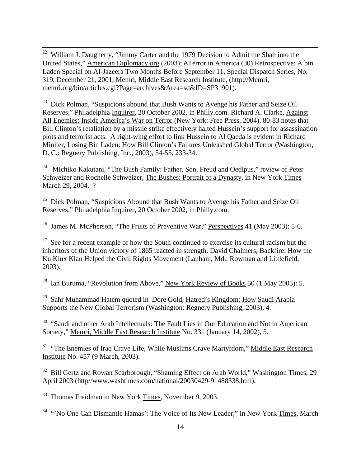<sup>22</sup> William J. Daugherty, "Jimmy Carter and the 1979 Decision to Admit the Shah into the United States," American Diplomacy.org (2003); ATerror in America (30) Retrospective: A bin Laden Special on Al-Jazeera Two Months Before September 11, Special Dispatch Series, No. 319, December 21, 2001, Memri, Middle East Research Institute, (http://Memri, memri.org/bin/articles.cgi?Page=archives&Area=sd&ID=SP31901).

 $^{23}$  Dick Polman, "Suspicions abound that Bush Wants to Avenge his Father and Seize Oil Reserves," Philadelphia Inquirer, 20 October 2002, in Philly.com. Richard A. Clarke, Against All Enemies: Inside America's War on Terror (New York: Free Press, 2004), 80-83 notes that Bill Clinton's retaliation by a missile strike effectively halted Hussein's support for assassination plots and terrorist acts. A right-wing effort to link Hussein to Al Qaeda is evident in Richard Miniter, Losing Bin Laden: How Bill Clinton's Failures Unleashed Global Terror (Washington, D. C.: Regnery Publishing, Inc., 2003), 54-55, 233-34.

<sup>24</sup> Michiko Kakutani, "The Bush Family: Father, Son, Freud and Oedipus," review of Peter Schweizer and Rochelle Schweizer, The Bushes: Portrait of a Dynasty, in New York Times March 29, 2004, ?

 $25$  Dick Polman, "Suspicions Abound that Bush Wants to Avenge his Father and Seize Oil Reserves," Philadelphia Inquirer, 20 October 2002, in Philly.com.

<sup>26</sup> James M. McPherson, "The Fruits of Preventive War," Perspectives 41 (May 2003): 5-6.

 $27$  See for a recent example of how the South continued to exercise its cultural racism but the inheritors of the Union victory of 1865 reacted in strength, David Chalmers, Backfire: How the Ku Klux Klan Helped the Civil Rights Movement (Lanham, Md.: Rowman and Littlefield, 2003).

<sup>28</sup> Ian Buruma, "Revolution from Above," New York Review of Books 50 (1 May 2003): 5.

<sup>29</sup> Sahr Muhammad Hatem quoted in Dore Gold, Hatred's Kingdom: How Saudi Arabia Supports the New Global Terrorism (Washington: Regnery Publishing, 2003), 4.

<sup>30</sup> "Saudi and other Arab Intellectuals: The Fault Lies in Our Education and Not in American Society," Memri, Middle East Research Institute No. 331 (January 14, 2002), 5.

<sup>31</sup> "The Enemies of Iraq Crave Life, While Muslims Crave Martyrdom," Middle East Research Institute No. 457 (9 March, 2003).

<sup>32</sup> Bill Gertz and Rowan Scarborough, "Shaming Effect on Arab World," Washington Times, 29 April 2003 (http//www.washtimes.com/national/20030429-91488338.htm).

33 Thomas Freidman in New York Times, November 9, 2003.

<sup>34</sup> "No One Can Dismantle Hamas': The Voice of Its New Leader," in New York Times, March